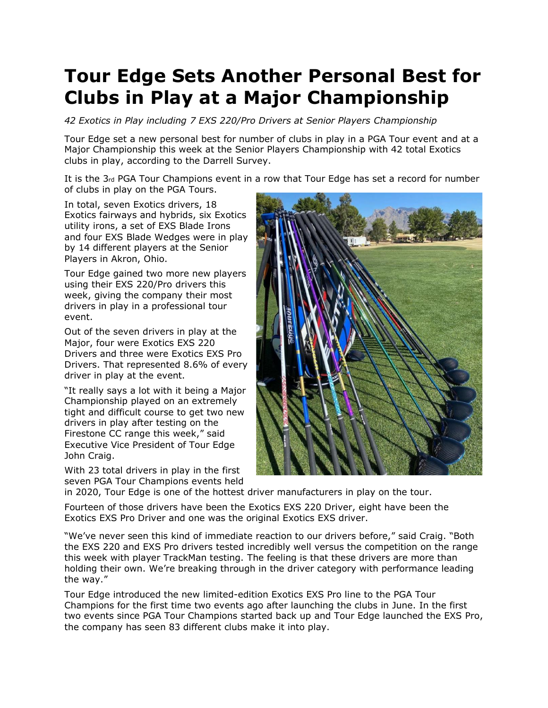## **Tour Edge Sets Another Personal Best for Clubs in Play at a Major Championship**

*42 Exotics in Play including 7 EXS 220/Pro Drivers at Senior Players Championship*

Tour Edge set a new personal best for number of clubs in play in a PGA Tour event and at a Major Championship this week at the Senior Players Championship with 42 total Exotics clubs in play, according to the Darrell Survey.

It is the 3rd PGA Tour Champions event in a row that Tour Edge has set a record for number of clubs in play on the PGA Tours.

In total, seven Exotics drivers, 18 Exotics fairways and hybrids, six Exotics utility irons, a set of EXS Blade Irons and four EXS Blade Wedges were in play by 14 different players at the Senior Players in Akron, Ohio.

Tour Edge gained two more new players using their EXS 220/Pro drivers this week, giving the company their most drivers in play in a professional tour event.

Out of the seven drivers in play at the Major, four were Exotics EXS 220 Drivers and three were Exotics EXS Pro Drivers. That represented 8.6% of every driver in play at the event.

"It really says a lot with it being a Major Championship played on an extremely tight and difficult course to get two new drivers in play after testing on the Firestone CC range this week," said Executive Vice President of Tour Edge John Craig.

With 23 total drivers in play in the first seven PGA Tour Champions events held



in 2020, Tour Edge is one of the hottest driver manufacturers in play on the tour.

Fourteen of those drivers have been the Exotics EXS 220 Driver, eight have been the Exotics EXS Pro Driver and one was the original Exotics EXS driver.

"We've never seen this kind of immediate reaction to our drivers before," said Craig. "Both the EXS 220 and EXS Pro drivers tested incredibly well versus the competition on the range this week with player TrackMan testing. The feeling is that these drivers are more than holding their own. We're breaking through in the driver category with performance leading the way."

Tour Edge introduced the new limited-edition Exotics EXS Pro line to the PGA Tour Champions for the first time two events ago after launching the clubs in June. In the first two events since PGA Tour Champions started back up and Tour Edge launched the EXS Pro, the company has seen 83 different clubs make it into play.